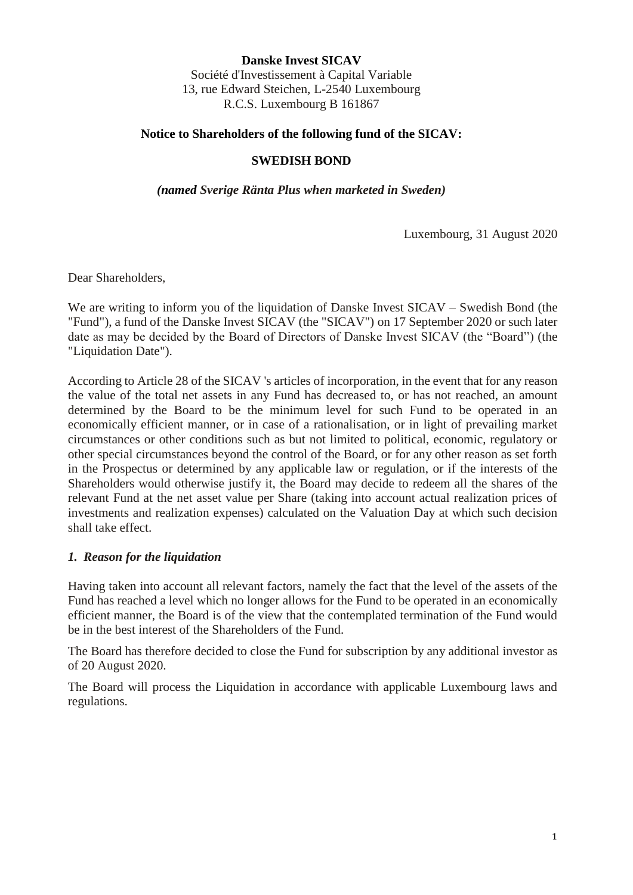**Danske Invest SICAV** Société d'Investissement à Capital Variable 13, rue Edward Steichen, L-2540 Luxembourg R.C.S. Luxembourg B 161867

## **Notice to Shareholders of the following fund of the SICAV:**

## **SWEDISH BOND**

*(named Sverige Ränta Plus when marketed in Sweden)*

Luxembourg, 31 August 2020

Dear Shareholders,

We are writing to inform you of the liquidation of Danske Invest SICAV – Swedish Bond (the "Fund"), a fund of the Danske Invest SICAV (the "SICAV") on 17 September 2020 or such later date as may be decided by the Board of Directors of Danske Invest SICAV (the "Board") (the "Liquidation Date").

According to Article 28 of the SICAV 's articles of incorporation, in the event that for any reason the value of the total net assets in any Fund has decreased to, or has not reached, an amount determined by the Board to be the minimum level for such Fund to be operated in an economically efficient manner, or in case of a rationalisation, or in light of prevailing market circumstances or other conditions such as but not limited to political, economic, regulatory or other special circumstances beyond the control of the Board, or for any other reason as set forth in the Prospectus or determined by any applicable law or regulation, or if the interests of the Shareholders would otherwise justify it, the Board may decide to redeem all the shares of the relevant Fund at the net asset value per Share (taking into account actual realization prices of investments and realization expenses) calculated on the Valuation Day at which such decision shall take effect.

## *1. Reason for the liquidation*

Having taken into account all relevant factors, namely the fact that the level of the assets of the Fund has reached a level which no longer allows for the Fund to be operated in an economically efficient manner, the Board is of the view that the contemplated termination of the Fund would be in the best interest of the Shareholders of the Fund.

The Board has therefore decided to close the Fund for subscription by any additional investor as of 20 August 2020.

The Board will process the Liquidation in accordance with applicable Luxembourg laws and regulations.